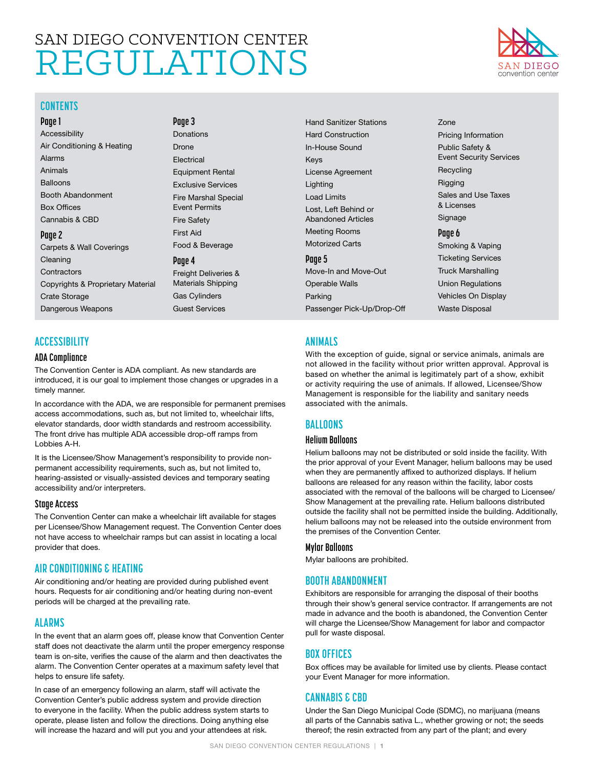# <span id="page-0-0"></span>SAN DIEGO CONVENTION CENTER REGULATIONS

**Page 3** [Donations](#page-2-0) [Drone](#page-2-0) [Electrical](#page-2-0)

[Equipment Rental](#page-2-0) [Exclusive Services](#page-2-0) [Fire Marshal Special](#page-2-0)  [Event Permits](#page-2-0) [Fire Safety](#page-2-0) [First Aid](#page-2-0) 

[Food & Beverage](#page-2-0)

[Freight Deliveries &](#page-3-0)  [Materials Shipping](#page-3-0) [Gas Cylinders](#page-3-0) [Guest Services](#page-3-0)

**Page 4**



### **CONTENTS**

**Page 1** Accessibility Air Conditioning & Heating Alarms Animals **Balloons** Booth Abandonment Box Offices Cannabis & CBD **Page 2** [Carpets & Wall Coverings](#page-1-0)  [Cleaning](#page-1-0)  **[Contractors](#page-1-0)** [Copyrights & Proprietary Material](#page-1-0) [Crate Storage](#page-1-0)

# [Dangerous Weapons](#page-1-0)

# **ACCESSIBILITY**

#### **ADA Compliance**

The Convention Center is ADA compliant. As new standards are introduced, it is our goal to implement those changes or upgrades in a timely manner.

In accordance with the ADA, we are responsible for permanent premises access accommodations, such as, but not limited to, wheelchair lifts, elevator standards, door width standards and restroom accessibility. The front drive has multiple ADA accessible drop-off ramps from Lobbies A-H.

It is the Licensee/Show Management's responsibility to provide nonpermanent accessibility requirements, such as, but not limited to, hearing-assisted or visually-assisted devices and temporary seating accessibility and/or interpreters.

#### **Stage Access**

The Convention Center can make a wheelchair lift available for stages per Licensee/Show Management request. The Convention Center does not have access to wheelchair ramps but can assist in locating a local provider that does.

# **AIR CONDITIONING & HEATING**

Air conditioning and/or heating are provided during published event hours. Requests for air conditioning and/or heating during non-event periods will be charged at the prevailing rate.

# **ALARMS**

In the event that an alarm goes off, please know that Convention Center staff does not deactivate the alarm until the proper emergency response team is on-site, verifies the cause of the alarm and then deactivates the alarm. The Convention Center operates at a maximum safety level that helps to ensure life safety.

In case of an emergency following an alarm, staff will activate the Convention Center's public address system and provide direction to everyone in the facility. When the public address system starts to operate, please listen and follow the directions. Doing anything else will increase the hazard and will put you and your attendees at risk.

[Hand Sanitizer Stations](#page-3-0) [Hard Construction](#page-3-0) [In-House Sound](#page-3-0) [Keys](#page-3-0) [License Agreement](#page-3-0) [Lighting](#page-3-0) [Load Limits](#page-3-0) [Lost, Left Behind or](#page-3-0)  [Abandoned Articles](#page-3-0) [Meeting Rooms](#page-3-0) [Motorized Carts](#page-4-0)  **Page 5** [Move-In and Move-Out](#page-4-0) [Operable Walls](#page-4-0)  [Parking](#page-4-0)

[Passenger Pick-Up/Drop-Off](#page-4-0) 

# **ANIMALS**

With the exception of guide, signal or service animals, animals are not allowed in the facility without prior written approval. Approval is based on whether the animal is legitimately part of a show, exhibit or activity requiring the use of animals. If allowed, Licensee/Show Management is responsible for the liability and sanitary needs associated with the animals.

[Zone](#page-4-0)

[Recycling](#page-4-0) [Rigging](#page-4-0)

[& Licenses](#page-4-0) [Signage](#page-4-0) **Page 6**

[Pricing Information](#page-4-0)  [Public Safety &](#page-4-0)  [Event Security Services](#page-4-0)

[Sales and Use Taxes](#page-4-0) 

[Smoking & Vaping](#page-5-0) [Ticketing Services](#page-5-0) [Truck Marshalling](#page-5-0) [Union Regulations](#page-5-0) [Vehicles On Display](#page-5-0) [Waste Disposal](#page-5-0)

# **BALLOONS**

#### **Helium Balloons**

Helium balloons may not be distributed or sold inside the facility. With the prior approval of your Event Manager, helium balloons may be used when they are permanently affixed to authorized displays. If helium balloons are released for any reason within the facility, labor costs associated with the removal of the balloons will be charged to Licensee/ Show Management at the prevailing rate. Helium balloons distributed outside the facility shall not be permitted inside the building. Additionally, helium balloons may not be released into the outside environment from the premises of the Convention Center.

#### **Mylar Balloons**

Mylar balloons are prohibited.

# **BOOTH ABANDONMENT**

Exhibitors are responsible for arranging the disposal of their booths through their show's general service contractor. If arrangements are not made in advance and the booth is abandoned, the Convention Center will charge the Licensee/Show Management for labor and compactor pull for waste disposal.

# **BOX OFFICES**

Box offices may be available for limited use by clients. Please contact your Event Manager for more information.

# **CANNABIS & CBD**

Under the San Diego Municipal Code (SDMC), no marijuana (means all parts of the Cannabis sativa L., whether growing or not; the seeds thereof; the resin extracted from any part of the plant; and every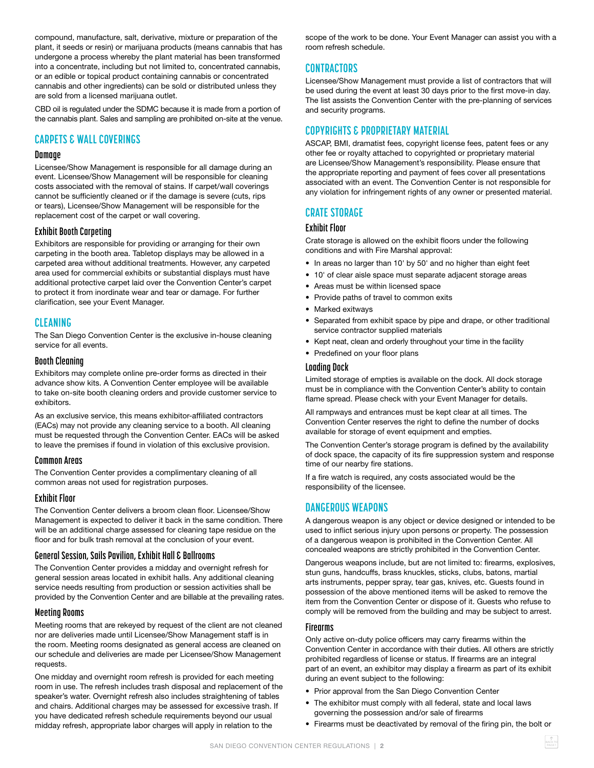<span id="page-1-0"></span>compound, manufacture, salt, derivative, mixture or preparation of the plant, it seeds or resin) or marijuana products (means cannabis that has undergone a process whereby the plant material has been transformed into a concentrate, including but not limited to, concentrated cannabis, or an edible or topical product containing cannabis or concentrated cannabis and other ingredients) can be sold or distributed unless they are sold from a licensed marijuana outlet.

CBD oil is regulated under the SDMC because it is made from a portion of the cannabis plant. Sales and sampling are prohibited on-site at the venue.

# **CARPETS & WALL COVERINGS**

#### **Damage**

Licensee/Show Management is responsible for all damage during an event. Licensee/Show Management will be responsible for cleaning costs associated with the removal of stains. If carpet/wall coverings cannot be sufficiently cleaned or if the damage is severe (cuts, rips or tears), Licensee/Show Management will be responsible for the replacement cost of the carpet or wall covering.

#### **Exhibit Booth Carpeting**

Exhibitors are responsible for providing or arranging for their own carpeting in the booth area. Tabletop displays may be allowed in a carpeted area without additional treatments. However, any carpeted area used for commercial exhibits or substantial displays must have additional protective carpet laid over the Convention Center's carpet to protect it from inordinate wear and tear or damage. For further clarification, see your Event Manager.

# **CLEANING**

The San Diego Convention Center is the exclusive in-house cleaning service for all events.

#### **Booth Cleaning**

Exhibitors may complete online pre-order forms as directed in their advance show kits. A Convention Center employee will be available to take on-site booth cleaning orders and provide customer service to exhibitors.

As an exclusive service, this means exhibitor-affiliated contractors (EACs) may not provide any cleaning service to a booth. All cleaning must be requested through the Convention Center. EACs will be asked to leave the premises if found in violation of this exclusive provision.

#### **Common Areas**

The Convention Center provides a complimentary cleaning of all common areas not used for registration purposes.

#### **Exhibit Floor**

The Convention Center delivers a broom clean floor. Licensee/Show Management is expected to deliver it back in the same condition. There will be an additional charge assessed for cleaning tape residue on the floor and for bulk trash removal at the conclusion of your event.

#### **General Session, Sails Pavilion, Exhibit Hall & Ballrooms**

The Convention Center provides a midday and overnight refresh for general session areas located in exhibit halls. Any additional cleaning service needs resulting from production or session activities shall be provided by the Convention Center and are billable at the prevailing rates.

#### **Meeting Rooms**

Meeting rooms that are rekeyed by request of the client are not cleaned nor are deliveries made until Licensee/Show Management staff is in the room. Meeting rooms designated as general access are cleaned on our schedule and deliveries are made per Licensee/Show Management requests.

One midday and overnight room refresh is provided for each meeting room in use. The refresh includes trash disposal and replacement of the speaker's water. Overnight refresh also includes straightening of tables and chairs. Additional charges may be assessed for excessive trash. If you have dedicated refresh schedule requirements beyond our usual midday refresh, appropriate labor charges will apply in relation to the

scope of the work to be done. Your Event Manager can assist you with a room refresh schedule.

# **CONTRACTORS**

Licensee/Show Management must provide a list of contractors that will be used during the event at least 30 days prior to the first move-in day. The list assists the Convention Center with the pre-planning of services and security programs.

# **COPYRIGHTS & PROPRIETARY MATERIAL**

ASCAP, BMI, dramatist fees, copyright license fees, patent fees or any other fee or royalty attached to copyrighted or proprietary material are Licensee/Show Management's responsibility. Please ensure that the appropriate reporting and payment of fees cover all presentations associated with an event. The Convention Center is not responsible for any violation for infringement rights of any owner or presented material.

# **CRATE STORAGE**

#### **Exhibit Floor**

Crate storage is allowed on the exhibit floors under the following conditions and with Fire Marshal approval:

- In areas no larger than 10' by 50' and no higher than eight feet
- 10' of clear aisle space must separate adjacent storage areas
- Areas must be within licensed space
- Provide paths of travel to common exits
- Marked exitways
- Separated from exhibit space by pipe and drape, or other traditional service contractor supplied materials
- Kept neat, clean and orderly throughout your time in the facility
- Predefined on your floor plans

#### **Loading Dock**

Limited storage of empties is available on the dock. All dock storage must be in compliance with the Convention Center's ability to contain flame spread. Please check with your Event Manager for details.

All rampways and entrances must be kept clear at all times. The Convention Center reserves the right to define the number of docks available for storage of event equipment and empties.

The Convention Center's storage program is defined by the availability of dock space, the capacity of its fire suppression system and response time of our nearby fire stations.

If a fire watch is required, any costs associated would be the responsibility of the licensee.

# **DANGEROUS WEAPONS**

A dangerous weapon is any object or device designed or intended to be used to inflict serious injury upon persons or property. The possession of a dangerous weapon is prohibited in the Convention Center. All concealed weapons are strictly prohibited in the Convention Center.

Dangerous weapons include, but are not limited to: firearms, explosives, stun guns, handcuffs, brass knuckles, sticks, clubs, batons, martial arts instruments, pepper spray, tear gas, knives, etc. Guests found in possession of the above mentioned items will be asked to remove the item from the Convention Center or dispose of it. Guests who refuse to comply will be removed from the building and may be subject to arrest.

#### **Firearms**

Only active on-duty police officers may carry firearms within the Convention Center in accordance with their duties. All others are strictly prohibited regardless of license or status. If firearms are an integral part of an event, an exhibitor may display a firearm as part of its exhibit during an event subject to the following:

- Prior approval from the San Diego Convention Center
- The exhibitor must comply with all federal, state and local laws governing the possession and/or sale of firearms
- Firearms must be deactivated by removal of the firing pin, the bolt or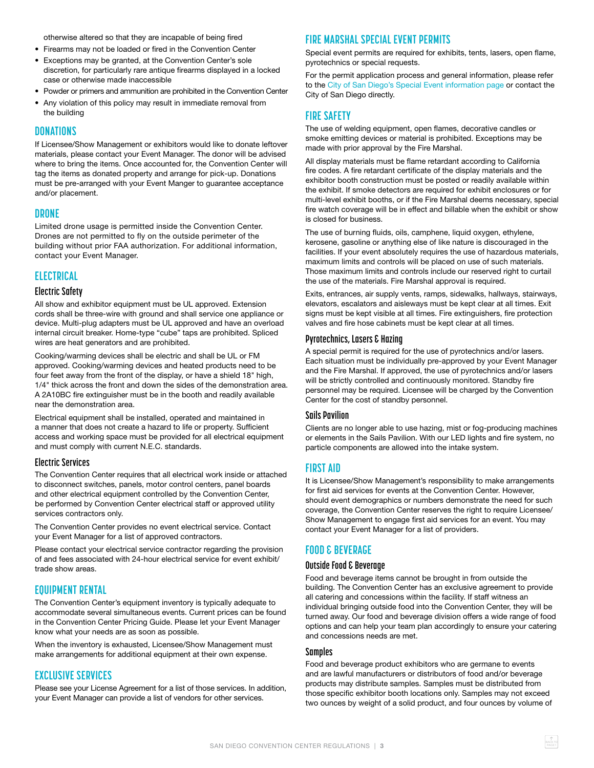<span id="page-2-0"></span>otherwise altered so that they are incapable of being fired

- Firearms may not be loaded or fired in the Convention Center
- Exceptions may be granted, at the Convention Center's sole discretion, for particularly rare antique firearms displayed in a locked case or otherwise made inaccessible
- Powder or primers and ammunition are prohibited in the Convention Center
- Any violation of this policy may result in immediate removal from the building

#### **DONATIONS**

If Licensee/Show Management or exhibitors would like to donate leftover materials, please contact your Event Manager. The donor will be advised where to bring the items. Once accounted for, the Convention Center will tag the items as donated property and arrange for pick-up. Donations must be pre-arranged with your Event Manger to guarantee acceptance and/or placement.

#### **DRONE**

Limited drone usage is permitted inside the Convention Center. Drones are not permitted to fly on the outside perimeter of the building without prior FAA authorization. For additional information, contact your Event Manager.

#### **ELECTRICAL**

#### **Electric Safety**

All show and exhibitor equipment must be UL approved. Extension cords shall be three-wire with ground and shall service one appliance or device. Multi-plug adapters must be UL approved and have an overload internal circuit breaker. Home-type "cube" taps are prohibited. Spliced wires are heat generators and are prohibited.

Cooking/warming devices shall be electric and shall be UL or FM approved. Cooking/warming devices and heated products need to be four feet away from the front of the display, or have a shield 18" high, 1/4" thick across the front and down the sides of the demonstration area. A 2A10BC fire extinguisher must be in the booth and readily available near the demonstration area.

Electrical equipment shall be installed, operated and maintained in a manner that does not create a hazard to life or property. Sufficient access and working space must be provided for all electrical equipment and must comply with current N.E.C. standards.

#### **Electric Services**

The Convention Center requires that all electrical work inside or attached to disconnect switches, panels, motor control centers, panel boards and other electrical equipment controlled by the Convention Center, be performed by Convention Center electrical staff or approved utility services contractors only.

The Convention Center provides no event electrical service. Contact your Event Manager for a list of approved contractors.

Please contact your electrical service contractor regarding the provision of and fees associated with 24-hour electrical service for event exhibit/ trade show areas.

#### **EQUIPMENT RENTAL**

The Convention Center's equipment inventory is typically adequate to accommodate several simultaneous events. Current prices can be found in the Convention Center Pricing Guide. Please let your Event Manager know what your needs are as soon as possible.

When the inventory is exhausted, Licensee/Show Management must make arrangements for additional equipment at their own expense.

#### **EXCLUSIVE SERVICES**

Please see your License Agreement for a list of those services. In addition, your Event Manager can provide a list of vendors for other services.

#### **FIRE MARSHAL SPECIAL EVENT PERMITS**

Special event permits are required for exhibits, tents, lasers, open flame, pyrotechnics or special requests.

For the permit application process and general information, please refer to the [City of San Diego's Special Event information page](https://www.sandiego.gov/fire/services/permits/events) or contact the City of San Diego directly.

#### **FIRE SAFETY**

The use of welding equipment, open flames, decorative candles or smoke emitting devices or material is prohibited. Exceptions may be made with prior approval by the Fire Marshal.

All display materials must be flame retardant according to California fire codes. A fire retardant certificate of the display materials and the exhibitor booth construction must be posted or readily available within the exhibit. If smoke detectors are required for exhibit enclosures or for multi-level exhibit booths, or if the Fire Marshal deems necessary, special fire watch coverage will be in effect and billable when the exhibit or show is closed for business.

The use of burning fluids, oils, camphene, liquid oxygen, ethylene, kerosene, gasoline or anything else of like nature is discouraged in the facilities. If your event absolutely requires the use of hazardous materials, maximum limits and controls will be placed on use of such materials. Those maximum limits and controls include our reserved right to curtail the use of the materials. Fire Marshal approval is required.

Exits, entrances, air supply vents, ramps, sidewalks, hallways, stairways, elevators, escalators and aisleways must be kept clear at all times. Exit signs must be kept visible at all times. Fire extinguishers, fire protection valves and fire hose cabinets must be kept clear at all times.

#### **Pyrotechnics, Lasers & Hazing**

A special permit is required for the use of pyrotechnics and/or lasers. Each situation must be individually pre-approved by your Event Manager and the Fire Marshal. If approved, the use of pyrotechnics and/or lasers will be strictly controlled and continuously monitored. Standby fire personnel may be required. Licensee will be charged by the Convention Center for the cost of standby personnel.

#### **Sails Pavilion**

Clients are no longer able to use hazing, mist or fog-producing machines or elements in the Sails Pavilion. With our LED lights and fire system, no particle components are allowed into the intake system.

#### **FIRST AID**

It is Licensee/Show Management's responsibility to make arrangements for first aid services for events at the Convention Center. However, should event demographics or numbers demonstrate the need for such coverage, the Convention Center reserves the right to require Licensee/ Show Management to engage first aid services for an event. You may contact your Event Manager for a list of providers.

#### **FOOD & BEVERAGE**

#### **Outside Food & Beverage**

Food and beverage items cannot be brought in from outside the building. The Convention Center has an exclusive agreement to provide all catering and concessions within the facility. If staff witness an individual bringing outside food into the Convention Center, they will be turned away. Our food and beverage division offers a wide range of food options and can help your team plan accordingly to ensure your catering and concessions needs are met.

#### **Samples**

Food and beverage product exhibitors who are germane to events and are lawful manufacturers or distributors of food and/or beverage products may distribute samples. Samples must be distributed from those specific exhibitor booth locations only. Samples may not exceed two ounces by weight of a solid product, and four ounces by volume of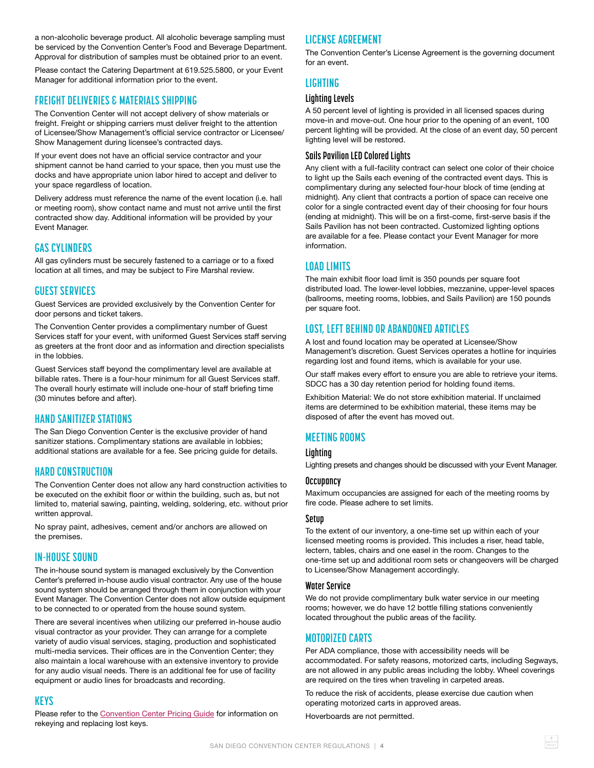<span id="page-3-0"></span>a non-alcoholic beverage product. All alcoholic beverage sampling must be serviced by the Convention Center's Food and Beverage Department. Approval for distribution of samples must be obtained prior to an event.

Please contact the Catering Department at 619.525.5800, or your Event Manager for additional information prior to the event.

# **FREIGHT DELIVERIES & MATERIALS SHIPPING**

The Convention Center will not accept delivery of show materials or freight. Freight or shipping carriers must deliver freight to the attention of Licensee/Show Management's official service contractor or Licensee/ Show Management during licensee's contracted days.

If your event does not have an official service contractor and your shipment cannot be hand carried to your space, then you must use the docks and have appropriate union labor hired to accept and deliver to your space regardless of location.

Delivery address must reference the name of the event location (i.e. hall or meeting room), show contact name and must not arrive until the first contracted show day. Additional information will be provided by your Event Manager.

### **GAS CYLINDERS**

All gas cylinders must be securely fastened to a carriage or to a fixed location at all times, and may be subject to Fire Marshal review.

# **GUEST SERVICES**

Guest Services are provided exclusively by the Convention Center for door persons and ticket takers.

The Convention Center provides a complimentary number of Guest Services staff for your event, with uniformed Guest Services staff serving as greeters at the front door and as information and direction specialists in the lobbies.

Guest Services staff beyond the complimentary level are available at billable rates. There is a four-hour minimum for all Guest Services staff. The overall hourly estimate will include one-hour of staff briefing time (30 minutes before and after).

# **HAND SANITIZER STATIONS**

The San Diego Convention Center is the exclusive provider of hand sanitizer stations. Complimentary stations are available in lobbies; additional stations are available for a fee. See pricing guide for details.

#### **HARD CONSTRUCTION**

The Convention Center does not allow any hard construction activities to be executed on the exhibit floor or within the building, such as, but not limited to, material sawing, painting, welding, soldering, etc. without prior written approval.

No spray paint, adhesives, cement and/or anchors are allowed on the premises.

#### **IN-HOUSE SOUND**

The in-house sound system is managed exclusively by the Convention Center's preferred in-house audio visual contractor. Any use of the house sound system should be arranged through them in conjunction with your Event Manager. The Convention Center does not allow outside equipment to be connected to or operated from the house sound system.

There are several incentives when utilizing our preferred in-house audio visual contractor as your provider. They can arrange for a complete variety of audio visual services, staging, production and sophisticated multi-media services. Their offices are in the Convention Center; they also maintain a local warehouse with an extensive inventory to provide for any audio visual needs. There is an additional fee for use of facility equipment or audio lines for broadcasts and recording.

# **KEYS**

Please refer to the [Convention Center Pricing Guide](https://www.visitsandiego.com/meeting-planners/planning-resources) for information on rekeying and replacing lost keys.

# **LICENSE AGREEMENT**

The Convention Center's License Agreement is the governing document for an event.

# **LIGHTING**

#### **Lighting Levels**

A 50 percent level of lighting is provided in all licensed spaces during move-in and move-out. One hour prior to the opening of an event, 100 percent lighting will be provided. At the close of an event day, 50 percent lighting level will be restored.

#### **Sails Pavilion LED Colored Lights**

Any client with a full-facility contract can select one color of their choice to light up the Sails each evening of the contracted event days. This is complimentary during any selected four-hour block of time (ending at midnight). Any client that contracts a portion of space can receive one color for a single contracted event day of their choosing for four hours (ending at midnight). This will be on a first-come, first-serve basis if the Sails Pavilion has not been contracted. Customized lighting options are available for a fee. Please contact your Event Manager for more information.

### **LOAD LIMITS**

The main exhibit floor load limit is 350 pounds per square foot distributed load. The lower-level lobbies, mezzanine, upper-level spaces (ballrooms, meeting rooms, lobbies, and Sails Pavilion) are 150 pounds per square foot.

# **LOST, LEFT BEHIND OR ABANDONED ARTICLES**

A lost and found location may be operated at Licensee/Show Management's discretion. Guest Services operates a hotline for inquiries regarding lost and found items, which is available for your use.

Our staff makes every effort to ensure you are able to retrieve your items. SDCC has a 30 day retention period for holding found items.

Exhibition Material: We do not store exhibition material. If unclaimed items are determined to be exhibition material, these items may be disposed of after the event has moved out.

# **MEETING ROOMS**

#### **Lighting**

Lighting presets and changes should be discussed with your Event Manager.

#### **Occupancy**

Maximum occupancies are assigned for each of the meeting rooms by fire code. Please adhere to set limits.

#### **Setup**

To the extent of our inventory, a one-time set up within each of your licensed meeting rooms is provided. This includes a riser, head table, lectern, tables, chairs and one easel in the room. Changes to the one-time set up and additional room sets or changeovers will be charged to Licensee/Show Management accordingly.

#### **Water Service**

We do not provide complimentary bulk water service in our meeting rooms; however, we do have 12 bottle filling stations conveniently located throughout the public areas of the facility.

#### **MOTORIZED CARTS**

Per ADA compliance, those with accessibility needs will be accommodated. For safety reasons, motorized carts, including Segways, are not allowed in any public areas including the lobby. Wheel coverings are required on the tires when traveling in carpeted areas.

To reduce the risk of accidents, please exercise due caution when operating motorized carts in approved areas.

Hoverboards are not permitted.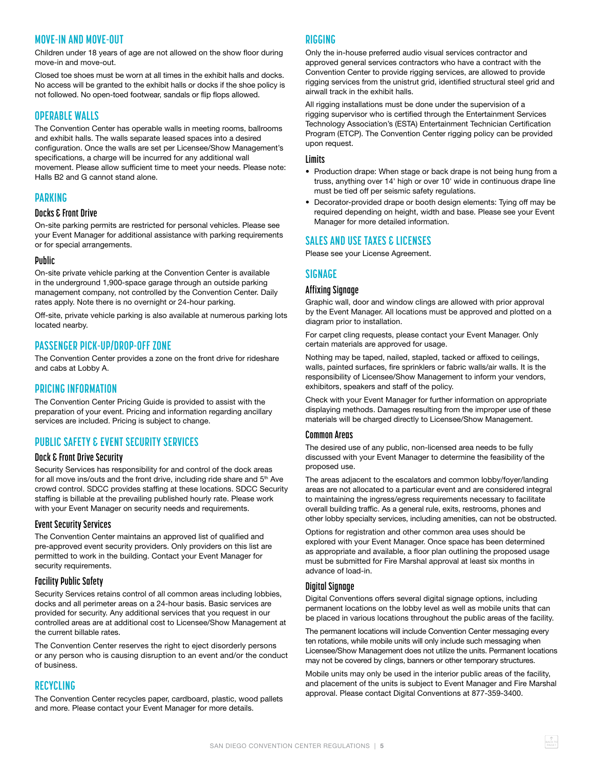# <span id="page-4-0"></span>**MOVE-IN AND MOVE-OUT**

Children under 18 years of age are not allowed on the show floor during move-in and move-out.

Closed toe shoes must be worn at all times in the exhibit halls and docks. No access will be granted to the exhibit halls or docks if the shoe policy is not followed. No open-toed footwear, sandals or flip flops allowed.

## **OPERABLE WALLS**

The Convention Center has operable walls in meeting rooms, ballrooms and exhibit halls. The walls separate leased spaces into a desired configuration. Once the walls are set per Licensee/Show Management's specifications, a charge will be incurred for any additional wall movement. Please allow sufficient time to meet your needs. Please note: Halls B2 and G cannot stand alone.

### **PARKING**

#### **Docks & Front Drive**

On-site parking permits are restricted for personal vehicles. Please see your Event Manager for additional assistance with parking requirements or for special arrangements.

#### **Public**

On-site private vehicle parking at the Convention Center is available in the underground 1,900-space garage through an outside parking management company, not controlled by the Convention Center. Daily rates apply. Note there is no overnight or 24-hour parking.

Off-site, private vehicle parking is also available at numerous parking lots located nearby.

### **PASSENGER PICK-UP/DROP-OFF ZONE**

The Convention Center provides a zone on the front drive for rideshare and cabs at Lobby A.

#### **PRICING INFORMATION**

The Convention Center Pricing Guide is provided to assist with the preparation of your event. Pricing and information regarding ancillary services are included. Pricing is subject to change.

# **PUBLIC SAFETY & EVENT SECURITY SERVICES**

#### **Dock & Front Drive Security**

Security Services has responsibility for and control of the dock areas for all move ins/outs and the front drive, including ride share and 5<sup>th</sup> Ave crowd control. SDCC provides staffing at these locations. SDCC Security staffing is billable at the prevailing published hourly rate. Please work with your Event Manager on security needs and requirements.

#### **Event Security Services**

The Convention Center maintains an approved list of qualified and pre-approved event security providers. Only providers on this list are permitted to work in the building. Contact your Event Manager for security requirements.

#### **Facility Public Safety**

Security Services retains control of all common areas including lobbies, docks and all perimeter areas on a 24-hour basis. Basic services are provided for security. Any additional services that you request in our controlled areas are at additional cost to Licensee/Show Management at the current billable rates.

The Convention Center reserves the right to eject disorderly persons or any person who is causing disruption to an event and/or the conduct of business.

#### **RECYCLING**

The Convention Center recycles paper, cardboard, plastic, wood pallets and more. Please contact your Event Manager for more details.

#### **RIGGING**

Only the in-house preferred audio visual services contractor and approved general services contractors who have a contract with the Convention Center to provide rigging services, are allowed to provide rigging services from the unistrut grid, identified structural steel grid and airwall track in the exhibit halls.

All rigging installations must be done under the supervision of a rigging supervisor who is certified through the Entertainment Services Technology Association's (ESTA) Entertainment Technician Certification Program (ETCP). The Convention Center rigging policy can be provided upon request.

#### **Limits**

- Production drape: When stage or back drape is not being hung from a truss, anything over 14' high or over 10' wide in continuous drape line must be tied off per seismic safety regulations.
- Decorator-provided drape or booth design elements: Tying off may be required depending on height, width and base. Please see your Event Manager for more detailed information.

### **SALES AND USE TAXES & LICENSES**

Please see your License Agreement.

# **SIGNAGE**

#### **Affixing Signage**

Graphic wall, door and window clings are allowed with prior approval by the Event Manager. All locations must be approved and plotted on a diagram prior to installation.

For carpet cling requests, please contact your Event Manager. Only certain materials are approved for usage.

Nothing may be taped, nailed, stapled, tacked or affixed to ceilings, walls, painted surfaces, fire sprinklers or fabric walls/air walls. It is the responsibility of Licensee/Show Management to inform your vendors, exhibitors, speakers and staff of the policy.

Check with your Event Manager for further information on appropriate displaying methods. Damages resulting from the improper use of these materials will be charged directly to Licensee/Show Management.

#### **Common Areas**

The desired use of any public, non-licensed area needs to be fully discussed with your Event Manager to determine the feasibility of the proposed use.

The areas adjacent to the escalators and common lobby/foyer/landing areas are not allocated to a particular event and are considered integral to maintaining the ingress/egress requirements necessary to facilitate overall building traffic. As a general rule, exits, restrooms, phones and other lobby specialty services, including amenities, can not be obstructed.

Options for registration and other common area uses should be explored with your Event Manager. Once space has been determined as appropriate and available, a floor plan outlining the proposed usage must be submitted for Fire Marshal approval at least six months in advance of load-in.

#### **Digital Signage**

Digital Conventions offers several digital signage options, including permanent locations on the lobby level as well as mobile units that can be placed in various locations throughout the public areas of the facility.

The permanent locations will include Convention Center messaging every ten rotations, while mobile units will only include such messaging when Licensee/Show Management does not utilize the units. Permanent locations may not be covered by clings, banners or other temporary structures.

Mobile units may only be used in the interior public areas of the facility, and placement of the units is subject to Event Manager and Fire Marshal approval. Please contact Digital Conventions at 877-359-3400.